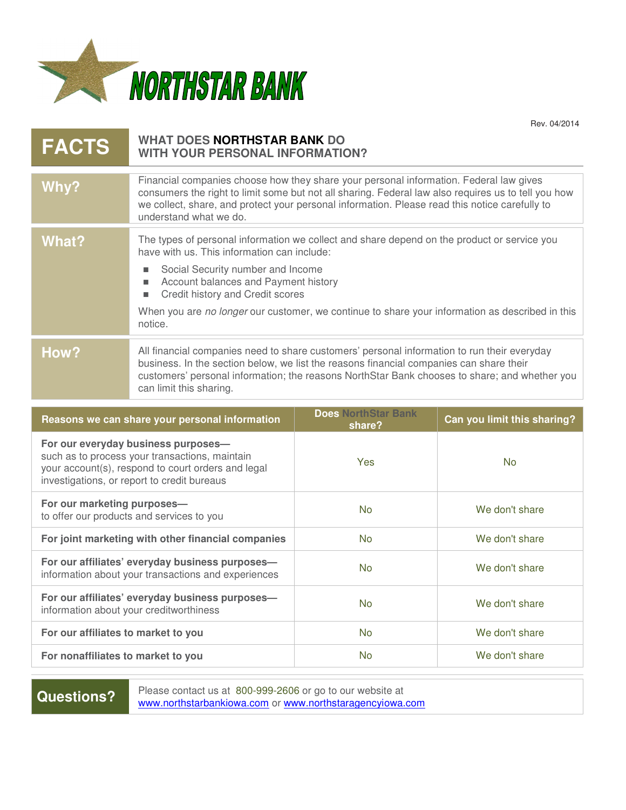

Rev. 04/2014

| <b>FACTS</b>                        | WHAT DOES NORTHSTAR BANK DO<br>WITH YOUR PERSONAL INFORMATION?                                                                                                                                                                                                                                                                                                                                        |                                      |                             |
|-------------------------------------|-------------------------------------------------------------------------------------------------------------------------------------------------------------------------------------------------------------------------------------------------------------------------------------------------------------------------------------------------------------------------------------------------------|--------------------------------------|-----------------------------|
| Why?                                | Financial companies choose how they share your personal information. Federal law gives<br>consumers the right to limit some but not all sharing. Federal law also requires us to tell you how<br>we collect, share, and protect your personal information. Please read this notice carefully to<br>understand what we do.                                                                             |                                      |                             |
| <b>What?</b>                        | The types of personal information we collect and share depend on the product or service you<br>have with us. This information can include:<br>Social Security number and Income<br>٠<br>Account balances and Payment history<br>$\blacksquare$<br>Credit history and Credit scores<br>٠<br>When you are no longer our customer, we continue to share your information as described in this<br>notice. |                                      |                             |
| How?                                | All financial companies need to share customers' personal information to run their everyday<br>business. In the section below, we list the reasons financial companies can share their<br>customers' personal information; the reasons NorthStar Bank chooses to share; and whether you<br>can limit this sharing.                                                                                    |                                      |                             |
|                                     |                                                                                                                                                                                                                                                                                                                                                                                                       |                                      |                             |
|                                     | Reasons we can share your personal information                                                                                                                                                                                                                                                                                                                                                        | <b>Does NorthStar Bank</b><br>share? | Can you limit this sharing? |
|                                     | For our everyday business purposes-<br>such as to process your transactions, maintain<br>your account(s), respond to court orders and legal<br>investigations, or report to credit bureaus                                                                                                                                                                                                            | Yes                                  | <b>No</b>                   |
| For our marketing purposes-         | to offer our products and services to you                                                                                                                                                                                                                                                                                                                                                             | <b>No</b>                            | We don't share              |
|                                     | For joint marketing with other financial companies                                                                                                                                                                                                                                                                                                                                                    | <b>No</b>                            | We don't share              |
|                                     | For our affiliates' everyday business purposes-<br>information about your transactions and experiences                                                                                                                                                                                                                                                                                                | <b>No</b>                            | We don't share              |
|                                     | For our affiliates' everyday business purposes-<br>information about your creditworthiness                                                                                                                                                                                                                                                                                                            | <b>No</b>                            | We don't share              |
| For our affiliates to market to you |                                                                                                                                                                                                                                                                                                                                                                                                       | <b>No</b>                            | We don't share              |

**Questions?** Please contact us at 800-999-2606 or go to our website at **Questions?** Please contact us at 800-999-2606 or go to our website at www.northstarbankiowa.com or www.northstaragencyiowa.com